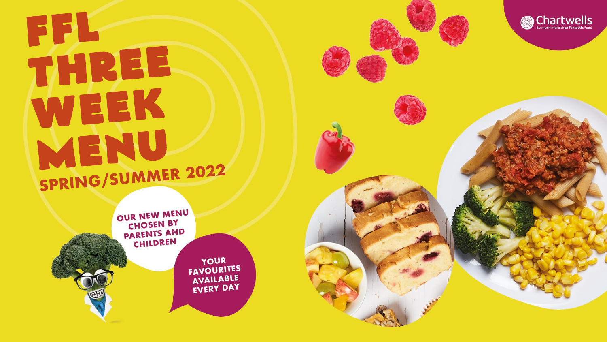## FFL THREE WEEK MENU SPRING/SUMMER 2022



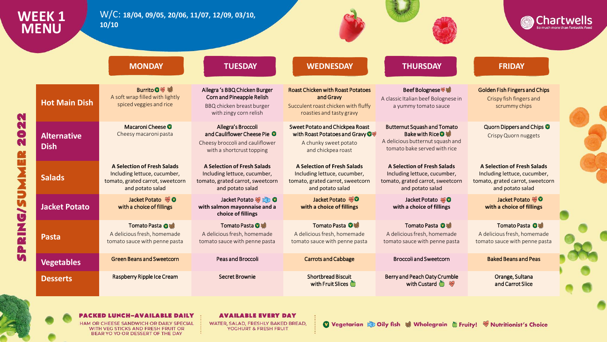| WEEK 1<br><b>MENU</b>             | W/C: 18/04, 09/05, 20/06, 11/07, 12/09, 03/10,<br>10/10                                                                    |                                                                                                                               |                                                                                                                            |                                                                                                                            | <b>Chartwells</b>                                                                                                          |  |
|-----------------------------------|----------------------------------------------------------------------------------------------------------------------------|-------------------------------------------------------------------------------------------------------------------------------|----------------------------------------------------------------------------------------------------------------------------|----------------------------------------------------------------------------------------------------------------------------|----------------------------------------------------------------------------------------------------------------------------|--|
|                                   | <b>MONDAY</b>                                                                                                              | <b>TUESDAY</b>                                                                                                                | <b>WEDNESDAY</b>                                                                                                           | <b>THURSDAY</b>                                                                                                            | <b>FRIDAY</b>                                                                                                              |  |
| <b>Hot Main Dish</b>              | Burrito O ※<br>A soft wrap filled with lightly<br>spiced veggies and rice                                                  | Allegra 's BBQ Chicken Burger<br>Corn and Pineapple Relish<br>BBQ chicken breast burger<br>with zingy corn relish             | <b>Roast Chicken with Roast Potatoes</b><br>and Gravy<br>Succulent roast chicken with fluffy<br>roasties and tasty gravy   | Beef Bolognese<br>A classic Italian beef Bolognese in<br>a yummy tomato sauce                                              | <b>Golden Fish Fingers and Chips</b><br>Crispy fish fingers and<br>scrummy chips                                           |  |
| <b>Alternative</b><br><b>Dish</b> | Macaroni Cheese <sup>O</sup><br>Cheesy macaroni pasta                                                                      | Allegra's Broccoli<br>and Cauliflower Cheese Pie <sup>O</sup><br>Cheesy broccoli and cauliflower<br>with a shortcrust topping | Sweet Potato and Chickpea Roast<br>with Roast Potatoes and Gravy O<br>A chunky sweet potato<br>and chickpea roast          | <b>Butternut Squash and Tomato</b><br>Bake with Rice ♥<br>A delicious butternut squash and<br>tomato bake served with rice | Quorn Dippers and Chips <sup>0</sup><br><b>Crispy Quorn nuggets</b>                                                        |  |
| <b>Salads</b>                     | <b>A Selection of Fresh Salads</b><br>Including lettuce, cucumber,<br>tomato, grated carrot, sweetcorn<br>and potato salad | A Selection of Fresh Salads<br>Including lettuce, cucumber,<br>tomato, grated carrot, sweetcorn<br>and potato salad           | <b>A Selection of Fresh Salads</b><br>Including lettuce, cucumber,<br>tomato, grated carrot, sweetcorn<br>and potato salad | A Selection of Fresh Salads<br>Including lettuce, cucumber,<br>tomato, grated carrot, sweetcorn<br>and potato salad        | <b>A Selection of Fresh Salads</b><br>Including lettuce, cucumber,<br>tomato, grated carrot, sweetcorn<br>and potato salad |  |
| <b>Jacket Potato</b>              | Jacket Potato % O<br>with a choice of fillings                                                                             | Jacket Potato % 200<br>with salmon mayonnaise and a<br>choice of fillings                                                     | Jacket Potato %0<br>with a choice of fillings                                                                              | Jacket Potato<br>with a choice of fillings                                                                                 | Jacket Potato %0<br>with a choice of fillings                                                                              |  |
| <b>Pasta</b>                      | Tomato Pasta O<br>A delicious fresh, homemade<br>tomato sauce with penne pasta                                             | Tomato Pasta <sup>O</sup><br>A delicious fresh, homemade<br>tomato sauce with penne pasta                                     | Tomato Pasta O<br>A delicious fresh, homemade<br>tomato sauce with penne pasta                                             | Tomato Pasta O<br>A delicious fresh, homemade<br>tomato sauce with penne pasta                                             | Tomato Pasta O<br>A delicious fresh, homemade<br>tomato sauce with penne pasta                                             |  |
| <b>Vegetables</b>                 | <b>Green Beans and Sweetcorn</b>                                                                                           | Peas and Broccoli                                                                                                             | <b>Carrots and Cabbage</b>                                                                                                 | <b>Broccoli and Sweetcorn</b>                                                                                              | <b>Baked Beans and Peas</b>                                                                                                |  |
| <b>Desserts</b>                   | Raspberry Ripple Ice Cream                                                                                                 | <b>Secret Brownie</b>                                                                                                         | <b>Shortbread Biscuit</b><br>with Fruit Slices                                                                             | Berry and Peach Oaty Crumble<br>with Custard $\bullet$                                                                     | Orange, Sultana<br>and Carrot Slice                                                                                        |  |

**PACKED LUNCH-AVAILABLE DAILY** HAM OR CHEESE SANDWICH OR DAILY SPECIAL WITH VEG STICKS AND FRESH FRUIT OR BEAR YO YO OR DESSERT OF THE DAY

**AVAILABLE EVERY DAY** WATER, SALAD, FRESHLY BAKED BREAD, **YOGHURT & FRESH FRUIT** 

Vegetarian & Oily fish & Wholegrain & Fruity! W Nutritionist's Choice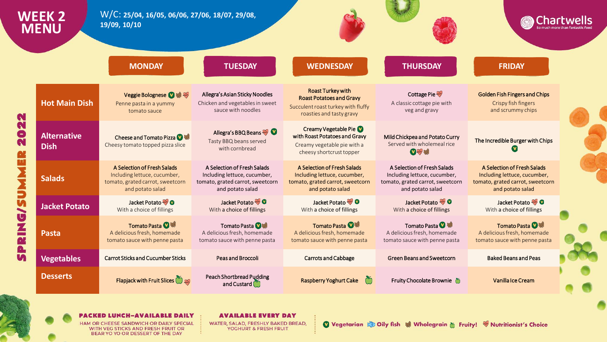| WEEK 2<br><b>MENU</b>             | W/C: 25/04, 16/05, 06/06, 27/06, 18/07, 29/08,<br>19/09, 10/10                                                      |                                                                                                                     |                                                                                                                               |                                                                                                                     |                                                                                                                     |  |
|-----------------------------------|---------------------------------------------------------------------------------------------------------------------|---------------------------------------------------------------------------------------------------------------------|-------------------------------------------------------------------------------------------------------------------------------|---------------------------------------------------------------------------------------------------------------------|---------------------------------------------------------------------------------------------------------------------|--|
|                                   | <b>MONDAY</b>                                                                                                       | <b>TUESDAY</b>                                                                                                      | <b>WEDNESDAY</b>                                                                                                              | <b>THURSDAY</b>                                                                                                     | <b>FRIDAY</b>                                                                                                       |  |
| <b>Hot Main Dish</b>              | Veggie Bolognese V &<br>Penne pasta in a yummy<br>tomato sauce                                                      | Allegra's Asian Sticky Noodles<br>Chicken and vegetables in sweet<br>sauce with noodles                             | <b>Roast Turkey with</b><br><b>Roast Potatoes and Gravy</b><br>Succulent roast turkey with fluffy<br>roasties and tasty gravy | Cottage Pie<br>A classic cottage pie with<br>veg and gravy                                                          | <b>Golden Fish Fingers and Chips</b><br>Crispy fish fingers<br>and scrummy chips                                    |  |
| <b>Alternative</b><br><b>Dish</b> | Cheese and Tomato Pizza 2 等<br>Cheesy tomato topped pizza slice                                                     | Allegra's BBQ Beans<br>Tasty BBQ beans served<br>with cornbread                                                     | Creamy Vegetable Pie<br>with Roast Potatoes and Gravy<br>Creamy vegetable pie with a<br>cheesy shortcrust topper              | Mild Chickpea and Potato Curry<br>Served with wholemeal rice<br>●多等                                                 | The Incredible Burger with Chips                                                                                    |  |
| <b>Salads</b>                     | A Selection of Fresh Salads<br>Including lettuce, cucumber,<br>tomato, grated carrot, sweetcorn<br>and potato salad | A Selection of Fresh Salads<br>Including lettuce, cucumber,<br>tomato, grated carrot, sweetcorn<br>and potato salad | A Selection of Fresh Salads<br>Including lettuce, cucumber,<br>tomato, grated carrot, sweetcorn<br>and potato salad           | A Selection of Fresh Salads<br>Including lettuce, cucumber,<br>tomato, grated carrot, sweetcorn<br>and potato salad | A Selection of Fresh Salads<br>Including lettuce, cucumber,<br>tomato, grated carrot, sweetcorn<br>and potato salad |  |
| <b>Jacket Potato</b>              | Jacket Potato<br>With a choice of fillings                                                                          | Jacket Potato <b>C</b><br>With a choice of fillings                                                                 | Jacket Potato %<br>With a choice of fillings                                                                                  | Jacket Potato % O<br>With a choice of fillings                                                                      | Jacket Potato <a><br/>With a choice of fillings</a>                                                                 |  |
| Pasta                             | Tomato Pasta <sup>14</sup><br>A delicious fresh, homemade<br>tomato sauce with penne pasta                          | Tomato Pasta <b>①</b> 等<br>A delicious fresh, homemade<br>tomato sauce with penne pasta                             | Tomato Pasta <b>①等</b><br>A delicious fresh, homemade<br>tomato sauce with penne pasta                                        | Tomato Pasta<br>A delicious fresh, homemade<br>tomato sauce with penne pasta                                        | Tomato Pasta <b>O</b><br>A delicious fresh, homemade<br>tomato sauce with penne pasta                               |  |
| <b>Vegetables</b>                 | <b>Carrot Sticks and Cucumber Sticks</b>                                                                            | <b>Peas and Broccoli</b>                                                                                            | <b>Carrots and Cabbage</b>                                                                                                    | <b>Green Beans and Sweetcorn</b>                                                                                    | <b>Baked Beans and Peas</b>                                                                                         |  |
| <b>Desserts</b>                   | <b>Flapjack with Fruit Slices</b>                                                                                   | <b>Peach Shortbread Pudding</b><br>and Custard                                                                      | <b>Raspberry Yoghurt Cake</b><br>$\bigcirc$                                                                                   | Fruity Chocolate Brownie 6                                                                                          | Vanilla Ice Cream                                                                                                   |  |

**PACKED LUNCH-AVAILABLE DAILY** 

HAM OR CHEESE SANDWICH OR DAILY SPECIAL WITH VEG STICKS AND FRESH FRUIT OR BEAR YO YO OR DESSERT OF THE DAY

**AVAILABLE EVERY DAY** WATER, SALAD, FRESHLY BAKED BREAD, **YOGHURT & FRESH FRUIT**